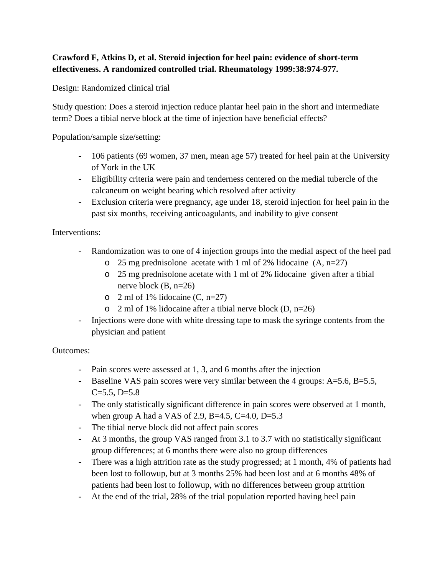## **Crawford F, Atkins D, et al. Steroid injection for heel pain: evidence of short-term effectiveness. A randomized controlled trial. Rheumatology 1999:38:974-977.**

Design: Randomized clinical trial

Study question: Does a steroid injection reduce plantar heel pain in the short and intermediate term? Does a tibial nerve block at the time of injection have beneficial effects?

Population/sample size/setting:

- 106 patients (69 women, 37 men, mean age 57) treated for heel pain at the University of York in the UK
- Eligibility criteria were pain and tenderness centered on the medial tubercle of the calcaneum on weight bearing which resolved after activity
- Exclusion criteria were pregnancy, age under 18, steroid injection for heel pain in the past six months, receiving anticoagulants, and inability to give consent

Interventions:

- Randomization was to one of 4 injection groups into the medial aspect of the heel pad
	- o 25 mg prednisolone acetate with 1 ml of 2% lidocaine  $(A, n=27)$
	- o 25 mg prednisolone acetate with 1 ml of 2% lidocaine given after a tibial nerve block (B, n=26)
	- $\circ$  2 ml of 1% lidocaine (C, n=27)
	- $\circ$  2 ml of 1% lidocaine after a tibial nerve block (D, n=26)
- Injections were done with white dressing tape to mask the syringe contents from the physician and patient

Outcomes:

- Pain scores were assessed at 1, 3, and 6 months after the injection
- Baseline VAS pain scores were very similar between the 4 groups: A=5.6, B=5.5,  $C=5.5, D=5.8$
- The only statistically significant difference in pain scores were observed at 1 month, when group A had a VAS of 2.9, B=4.5, C=4.0, D=5.3
- The tibial nerve block did not affect pain scores
- At 3 months, the group VAS ranged from 3.1 to 3.7 with no statistically significant group differences; at 6 months there were also no group differences
- There was a high attrition rate as the study progressed; at 1 month, 4% of patients had been lost to followup, but at 3 months 25% had been lost and at 6 months 48% of patients had been lost to followup, with no differences between group attrition
- At the end of the trial, 28% of the trial population reported having heel pain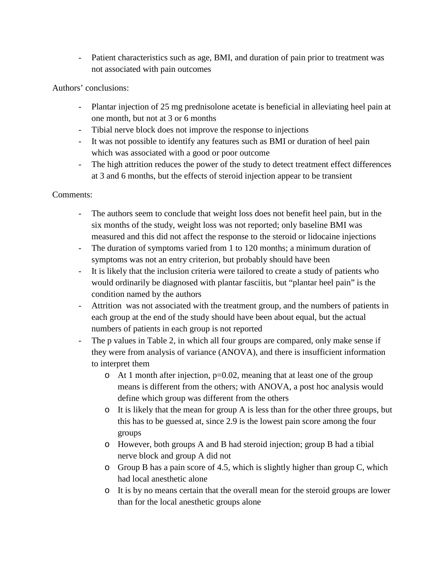- Patient characteristics such as age, BMI, and duration of pain prior to treatment was not associated with pain outcomes

Authors' conclusions:

- Plantar injection of 25 mg prednisolone acetate is beneficial in alleviating heel pain at one month, but not at 3 or 6 months
- Tibial nerve block does not improve the response to injections
- It was not possible to identify any features such as BMI or duration of heel pain which was associated with a good or poor outcome
- The high attrition reduces the power of the study to detect treatment effect differences at 3 and 6 months, but the effects of steroid injection appear to be transient

## Comments:

- The authors seem to conclude that weight loss does not benefit heel pain, but in the six months of the study, weight loss was not reported; only baseline BMI was measured and this did not affect the response to the steroid or lidocaine injections
- The duration of symptoms varied from 1 to 120 months; a minimum duration of symptoms was not an entry criterion, but probably should have been
- It is likely that the inclusion criteria were tailored to create a study of patients who would ordinarily be diagnosed with plantar fasciitis, but "plantar heel pain" is the condition named by the authors
- Attrition was not associated with the treatment group, and the numbers of patients in each group at the end of the study should have been about equal, but the actual numbers of patients in each group is not reported
- The p values in Table 2, in which all four groups are compared, only make sense if they were from analysis of variance (ANOVA), and there is insufficient information to interpret them
	- o At 1 month after injection, p=0.02, meaning that at least one of the group means is different from the others; with ANOVA, a post hoc analysis would define which group was different from the others
	- o It is likely that the mean for group A is less than for the other three groups, but this has to be guessed at, since 2.9 is the lowest pain score among the four groups
	- o However, both groups A and B had steroid injection; group B had a tibial nerve block and group A did not
	- o Group B has a pain score of 4.5, which is slightly higher than group C, which had local anesthetic alone
	- o It is by no means certain that the overall mean for the steroid groups are lower than for the local anesthetic groups alone